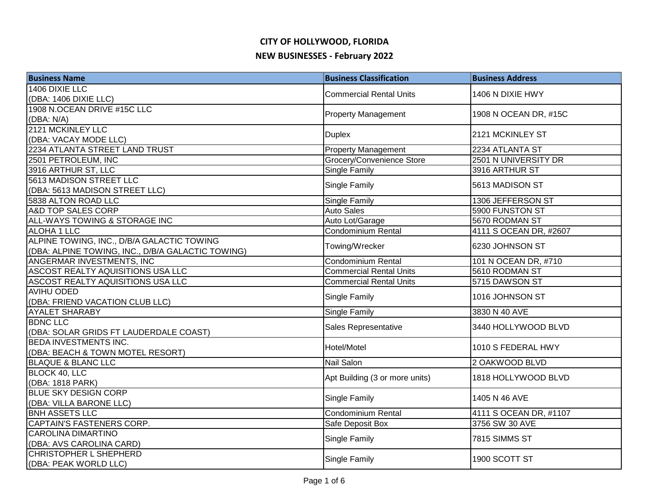# **CITY OF HOLLYWOOD, FLORIDA**

#### **NEW BUSINESSES - February 2022**

| <b>Business Name</b>                              | <b>Business Classification</b> | <b>Business Address</b> |
|---------------------------------------------------|--------------------------------|-------------------------|
| 1406 DIXIE LLC                                    | <b>Commercial Rental Units</b> | 1406 N DIXIE HWY        |
| (DBA: 1406 DIXIE LLC)                             |                                |                         |
| 1908 N.OCEAN DRIVE #15C LLC                       | <b>Property Management</b>     | 1908 N OCEAN DR, #15C   |
| (DBA: N/A)                                        |                                |                         |
| 2121 MCKINLEY LLC                                 | <b>Duplex</b>                  | 2121 MCKINLEY ST        |
| (DBA: VACAY MODE LLC)                             |                                |                         |
| 2234 ATLANTA STREET LAND TRUST                    | <b>Property Management</b>     | 2234 ATLANTA ST         |
| 2501 PETROLEUM, INC                               | Grocery/Convenience Store      | 2501 N UNIVERSITY DR    |
| 3916 ARTHUR ST, LLC                               | <b>Single Family</b>           | 3916 ARTHUR ST          |
| 5613 MADISON STREET LLC                           | Single Family                  | 5613 MADISON ST         |
| (DBA: 5613 MADISON STREET LLC)                    |                                |                         |
| 5838 ALTON ROAD LLC                               | <b>Single Family</b>           | 1306 JEFFERSON ST       |
| A&D TOP SALES CORP                                | <b>Auto Sales</b>              | 5900 FUNSTON ST         |
| ALL-WAYS TOWING & STORAGE INC                     | Auto Lot/Garage                | 5670 RODMAN ST          |
| ALOHA 1 LLC                                       | Condominium Rental             | 4111 S OCEAN DR, #2607  |
| ALPINE TOWING, INC., D/B/A GALACTIC TOWING        |                                |                         |
| (DBA: ALPINE TOWING, INC., D/B/A GALACTIC TOWING) | Towing/Wrecker                 | 6230 JOHNSON ST         |
| ANGERMAR INVESTMENTS, INC                         | Condominium Rental             | 101 N OCEAN DR, #710    |
| ASCOST REALTY AQUISITIONS USA LLC                 | <b>Commercial Rental Units</b> | 5610 RODMAN ST          |
| ASCOST REALTY AQUISITIONS USA LLC                 | <b>Commercial Rental Units</b> | 5715 DAWSON ST          |
| <b>AVIHU ODED</b>                                 |                                |                         |
| (DBA: FRIEND VACATION CLUB LLC)                   | Single Family                  | 1016 JOHNSON ST         |
| <b>AYALET SHARABY</b>                             | Single Family                  | 3830 N 40 AVE           |
| <b>BDNC LLC</b>                                   |                                |                         |
| (DBA: SOLAR GRIDS FT LAUDERDALE COAST)            | Sales Representative           | 3440 HOLLYWOOD BLVD     |
| <b>BEDA INVESTMENTS INC.</b>                      | Hotel/Motel                    |                         |
| (DBA: BEACH & TOWN MOTEL RESORT)                  |                                | 1010 S FEDERAL HWY      |
| <b>BLAQUE &amp; BLANC LLC</b>                     | <b>Nail Salon</b>              | 2 OAKWOOD BLVD          |
| BLOCK 40, LLC                                     |                                |                         |
| (DBA: 1818 PARK)                                  | Apt Building (3 or more units) | 1818 HOLLYWOOD BLVD     |
| <b>BLUE SKY DESIGN CORP</b>                       |                                |                         |
| (DBA: VILLA BARONE LLC)                           | <b>Single Family</b>           | 1405 N 46 AVE           |
| <b>BNH ASSETS LLC</b>                             | <b>Condominium Rental</b>      | 4111 S OCEAN DR, #1107  |
| CAPTAIN'S FASTENERS CORP.                         | Safe Deposit Box               | 3756 SW 30 AVE          |
| <b>CAROLINA DIMARTINO</b>                         |                                |                         |
| (DBA: AVS CAROLINA CARD)                          | Single Family                  | 7815 SIMMS ST           |
| <b>CHRISTOPHER L SHEPHERD</b>                     |                                | 1900 SCOTT ST           |
| (DBA: PEAK WORLD LLC)                             | Single Family                  |                         |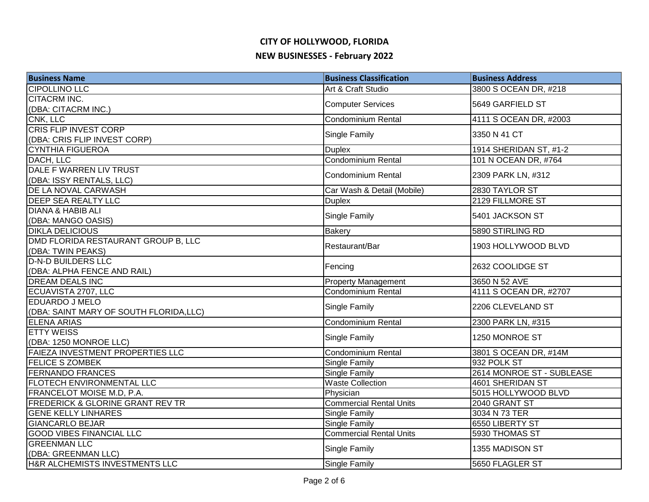| <b>Business Name</b>                        | <b>Business Classification</b> | <b>Business Address</b>   |
|---------------------------------------------|--------------------------------|---------------------------|
| <b>CIPOLLINO LLC</b>                        | Art & Craft Studio             | 3800 S OCEAN DR, #218     |
| <b>CITACRM INC.</b>                         |                                | 5649 GARFIELD ST          |
| (DBA: CITACRM INC.)                         | <b>Computer Services</b>       |                           |
| CNK, LLC                                    | <b>Condominium Rental</b>      | 4111 S OCEAN DR, #2003    |
| <b>CRIS FLIP INVEST CORP</b>                | Single Family                  | 3350 N 41 CT              |
| (DBA: CRIS FLIP INVEST CORP)                |                                |                           |
| <b>CYNTHIA FIGUEROA</b>                     | <b>Duplex</b>                  | 1914 SHERIDAN ST, #1-2    |
| DACH, LLC                                   | <b>Condominium Rental</b>      | 101 N OCEAN DR, #764      |
| DALE F WARREN LIV TRUST                     | Condominium Rental             | 2309 PARK LN, #312        |
| (DBA: ISSY RENTALS, LLC)                    |                                |                           |
| DE LA NOVAL CARWASH                         | Car Wash & Detail (Mobile)     | 2830 TAYLOR ST            |
| <b>DEEP SEA REALTY LLC</b>                  | <b>Duplex</b>                  | 2129 FILLMORE ST          |
| <b>DIANA &amp; HABIB ALI</b>                | Single Family                  | 5401 JACKSON ST           |
| (DBA: MANGO OASIS)                          |                                |                           |
| <b>DIKLA DELICIOUS</b>                      | <b>Bakery</b>                  | 5890 STIRLING RD          |
| DMD FLORIDA RESTAURANT GROUP B, LLC         | Restaurant/Bar                 | 1903 HOLLYWOOD BLVD       |
| (DBA: TWIN PEAKS)                           |                                |                           |
| <b>D-N-D BUILDERS LLC</b>                   |                                | 2632 COOLIDGE ST          |
| (DBA: ALPHA FENCE AND RAIL)                 | Fencing                        |                           |
| <b>DREAM DEALS INC</b>                      | <b>Property Management</b>     | 3650 N 52 AVE             |
| ECUAVISTA 2707, LLC                         | Condominium Rental             | 4111 S OCEAN DR, #2707    |
| EDUARDO J MELO                              |                                | 2206 CLEVELAND ST         |
| (DBA: SAINT MARY OF SOUTH FLORIDA, LLC)     | Single Family                  |                           |
| <b>ELENA ARIAS</b>                          | <b>Condominium Rental</b>      | 2300 PARK LN, #315        |
| <b>ETTY WEISS</b>                           |                                | 1250 MONROE ST            |
| (DBA: 1250 MONROE LLC)                      | Single Family                  |                           |
| <b>FAIEZA INVESTMENT PROPERTIES LLC</b>     | <b>Condominium Rental</b>      | 3801 S OCEAN DR, #14M     |
| <b>FELICE S ZOMBEK</b>                      | <b>Single Family</b>           | 932 POLK ST               |
| <b>FERNANDO FRANCES</b>                     | Single Family                  | 2614 MONROE ST - SUBLEASE |
| <b>FLOTECH ENVIRONMENTAL LLC</b>            | <b>Waste Collection</b>        | 4601 SHERIDAN ST          |
| FRANCELOT MOISE M.D, P.A.                   | Physician                      | 5015 HOLLYWOOD BLVD       |
| <b>FREDERICK &amp; GLORINE GRANT REV TR</b> | <b>Commercial Rental Units</b> | 2040 GRANT ST             |
| <b>GENE KELLY LINHARES</b>                  | <b>Single Family</b>           | 3034 N 73 TER             |
| <b>GIANCARLO BEJAR</b>                      | <b>Single Family</b>           | 6550 LIBERTY ST           |
| <b>GOOD VIBES FINANCIAL LLC</b>             | <b>Commercial Rental Units</b> | 5930 THOMAS ST            |
| <b>GREENMAN LLC</b>                         |                                |                           |
| (DBA: GREENMAN LLC)                         | <b>Single Family</b>           | 1355 MADISON ST           |
| H&R ALCHEMISTS INVESTMENTS LLC              | <b>Single Family</b>           | 5650 FLAGLER ST           |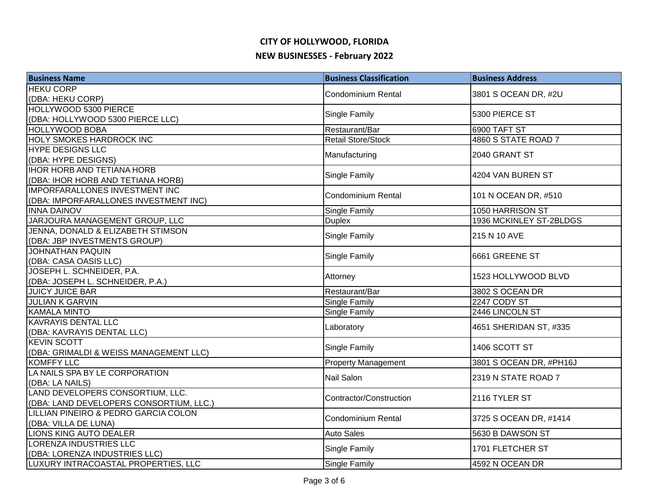| <b>Business Name</b>                    | <b>Business Classification</b> | <b>Business Address</b> |
|-----------------------------------------|--------------------------------|-------------------------|
| <b>HEKU CORP</b>                        | <b>Condominium Rental</b>      | 3801 S OCEAN DR, #2U    |
| (DBA: HEKU CORP)                        |                                |                         |
| HOLLYWOOD 5300 PIERCE                   | Single Family                  | 5300 PIERCE ST          |
| (DBA: HOLLYWOOD 5300 PIERCE LLC)        |                                |                         |
| <b>HOLLYWOOD BOBA</b>                   | Restaurant/Bar                 | 6900 TAFT ST            |
| <b>HOLY SMOKES HARDROCK INC</b>         | <b>Retail Store/Stock</b>      | 4860 S STATE ROAD 7     |
| <b>HYPE DESIGNS LLC</b>                 | Manufacturing                  | 2040 GRANT ST           |
| (DBA: HYPE DESIGNS)                     |                                |                         |
| <b>IHOR HORB AND TETIANA HORB</b>       | Single Family                  | 4204 VAN BUREN ST       |
| (DBA: IHOR HORB AND TETIANA HORB)       |                                |                         |
| <b>IMPORFARALLONES INVESTMENT INC</b>   | <b>Condominium Rental</b>      | 101 N OCEAN DR, #510    |
| (DBA: IMPORFARALLONES INVESTMENT INC)   |                                |                         |
| <b>INNA DAINOV</b>                      | Single Family                  | 1050 HARRISON ST        |
| JARJOURA MANAGEMENT GROUP, LLC          | <b>Duplex</b>                  | 1936 MCKINLEY ST-2BLDGS |
| JENNA, DONALD & ELIZABETH STIMSON       | Single Family                  | 215 N 10 AVE            |
| (DBA: JBP INVESTMENTS GROUP)            |                                |                         |
| JOHNATHAN PAQUIN                        | Single Family                  | 6661 GREENE ST          |
| (DBA: CASA OASIS LLC)                   |                                |                         |
| JOSEPH L. SCHNEIDER, P.A.               | Attorney                       | 1523 HOLLYWOOD BLVD     |
| (DBA: JOSEPH L. SCHNEIDER, P.A.)        |                                |                         |
| <b>JUICY JUICE BAR</b>                  | Restaurant/Bar                 | 3802 S OCEAN DR         |
| <b>JULIAN K GARVIN</b>                  | <b>Single Family</b>           | 2247 CODY ST            |
| <b>KAMALA MINTO</b>                     | Single Family                  | 2446 LINCOLN ST         |
| <b>KAVRAYIS DENTAL LLC</b>              | Laboratory                     | 4651 SHERIDAN ST, #335  |
| (DBA: KAVRAYIS DENTAL LLC)              |                                |                         |
| <b>KEVIN SCOTT</b>                      | Single Family                  | 1406 SCOTT ST           |
| (DBA: GRIMALDI & WEISS MANAGEMENT LLC)  |                                |                         |
| <b>KOMFFY LLC</b>                       | <b>Property Management</b>     | 3801 S OCEAN DR, #PH16J |
| LA NAILS SPA BY LE CORPORATION          | Nail Salon                     | 2319 N STATE ROAD 7     |
| (DBA: LA NAILS)                         |                                |                         |
| LAND DEVELOPERS CONSORTIUM, LLC.        | Contractor/Construction        | 2116 TYLER ST           |
| (DBA: LAND DEVELOPERS CONSORTIUM, LLC.) |                                |                         |
| LILLIAN PINEIRO & PEDRO GARCIA COLON    | <b>Condominium Rental</b>      | 3725 S OCEAN DR, #1414  |
| (DBA: VILLA DE LUNA)                    |                                |                         |
| LIONS KING AUTO DEALER                  | <b>Auto Sales</b>              | 5630 B DAWSON ST        |
| <b>LORENZA INDUSTRIES LLC</b>           | Single Family                  | 1701 FLETCHER ST        |
| (DBA: LORENZA INDUSTRIES LLC)           |                                |                         |
| LUXURY INTRACOASTAL PROPERTIES, LLC     | <b>Single Family</b>           | 4592 N OCEAN DR         |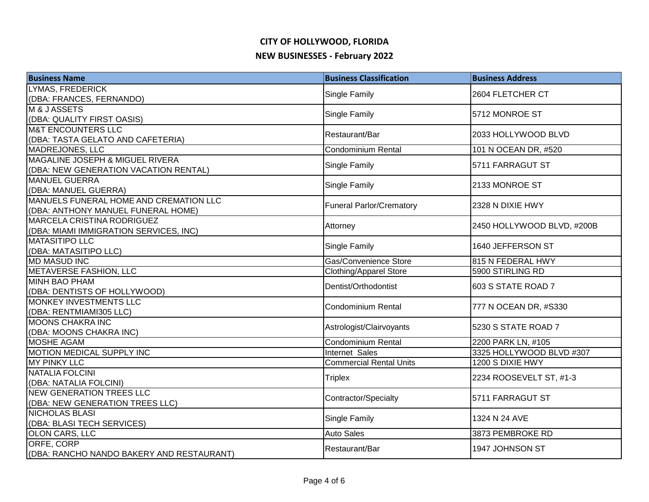| <b>Business Name</b>                         | <b>Business Classification</b>  | <b>Business Address</b>                        |
|----------------------------------------------|---------------------------------|------------------------------------------------|
| <b>LYMAS, FREDERICK</b>                      | Single Family                   | 2604 FLETCHER CT                               |
| (DBA: FRANCES, FERNANDO)                     |                                 |                                                |
| <b>M&amp;JASSETS</b>                         | Single Family                   | 5712 MONROE ST                                 |
| (DBA: QUALITY FIRST OASIS)                   |                                 |                                                |
| <b>M&amp;T ENCOUNTERS LLC</b>                | Restaurant/Bar                  | 2033 HOLLYWOOD BLVD                            |
| (DBA: TASTA GELATO AND CAFETERIA)            |                                 |                                                |
| <b>MADREJONES, LLC</b>                       | Condominium Rental              | 101 N OCEAN DR, #520                           |
| MAGALINE JOSEPH & MIGUEL RIVERA              | Single Family                   | 5711 FARRAGUT ST                               |
| (DBA: NEW GENERATION VACATION RENTAL)        |                                 |                                                |
| <b>MANUEL GUERRA</b>                         | Single Family                   | 2133 MONROE ST                                 |
| (DBA: MANUEL GUERRA)                         |                                 |                                                |
| MANUELS FUNERAL HOME AND CREMATION LLC       | <b>Funeral Parlor/Crematory</b> | 2328 N DIXIE HWY                               |
| (DBA: ANTHONY MANUEL FUNERAL HOME)           |                                 |                                                |
| MARCELA CRISTINA RODRIGUEZ                   | Attorney                        | 2450 HOLLYWOOD BLVD, #200B                     |
| (DBA: MIAMI IMMIGRATION SERVICES, INC)       |                                 |                                                |
| <b>MATASITIPO LLC</b>                        | Single Family                   | 1640 JEFFERSON ST                              |
| (DBA: MATASITIPO LLC)                        |                                 |                                                |
| <b>MD MASUD INC</b>                          | Gas/Convenience Store           | 815 N FEDERAL HWY                              |
| METAVERSE FASHION, LLC                       | <b>Clothing/Apparel Store</b>   | 5900 STIRLING RD                               |
| <b>MINH BAO PHAM</b>                         | Dentist/Orthodontist            | 603 S STATE ROAD 7                             |
| (DBA: DENTISTS OF HOLLYWOOD)                 |                                 |                                                |
| <b>MONKEY INVESTMENTS LLC</b>                | <b>Condominium Rental</b>       | 777 N OCEAN DR, #S330                          |
| (DBA: RENTMIAMI305 LLC)                      |                                 |                                                |
| <b>MOONS CHAKRA INC</b>                      | Astrologist/Clairvoyants        | 5230 S STATE ROAD 7                            |
| (DBA: MOONS CHAKRA INC)<br><b>MOSHE AGAM</b> | <b>Condominium Rental</b>       |                                                |
| MOTION MEDICAL SUPPLY INC                    | Internet Sales                  | 2200 PARK LN, #105<br>3325 HOLLYWOOD BLVD #307 |
| <b>MY PINKY LLC</b>                          | <b>Commercial Rental Units</b>  | 1200 S DIXIE HWY                               |
| <b>NATALIA FOLCINI</b>                       |                                 |                                                |
| (DBA: NATALIA FOLCINI)                       | <b>Triplex</b>                  | 2234 ROOSEVELT ST, #1-3                        |
| <b>NEW GENERATION TREES LLC</b>              |                                 |                                                |
| (DBA: NEW GENERATION TREES LLC)              | Contractor/Specialty            | 5711 FARRAGUT ST                               |
| <b>NICHOLAS BLASI</b>                        |                                 |                                                |
| (DBA: BLASI TECH SERVICES)                   | Single Family                   | 1324 N 24 AVE                                  |
| OLON CARS, LLC                               | <b>Auto Sales</b>               | 3873 PEMBROKE RD                               |
| ORFE, CORP                                   |                                 |                                                |
| (DBA: RANCHO NANDO BAKERY AND RESTAURANT)    | Restaurant/Bar                  | 1947 JOHNSON ST                                |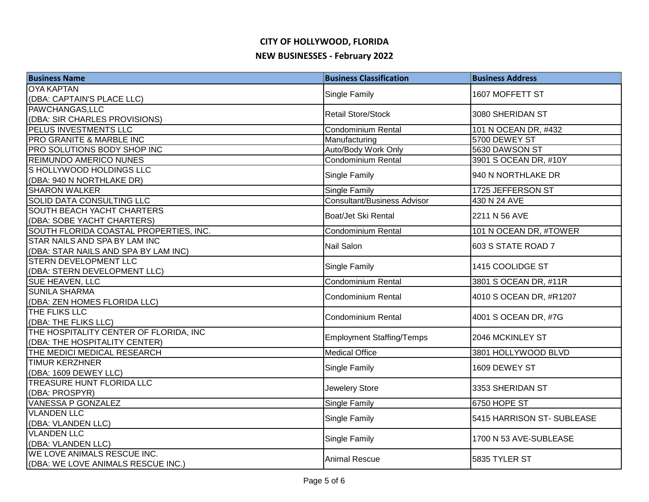| <b>Business Name</b>                   | <b>Business Classification</b>     | <b>Business Address</b>   |
|----------------------------------------|------------------------------------|---------------------------|
| <b>OYA KAPTAN</b>                      |                                    | 1607 MOFFETT ST           |
| (DBA: CAPTAIN'S PLACE LLC)             | Single Family                      |                           |
| PAWCHANGAS, LLC                        | <b>Retail Store/Stock</b>          | 3080 SHERIDAN ST          |
| (DBA: SIR CHARLES PROVISIONS)          |                                    |                           |
| PELUS INVESTMENTS LLC                  | <b>Condominium Rental</b>          | 101 N OCEAN DR, #432      |
| PRO GRANITE & MARBLE INC               | Manufacturing                      | 5700 DEWEY ST             |
| PRO SOLUTIONS BODY SHOP INC            | Auto/Body Work Only                | 5630 DAWSON ST            |
| <b>REIMUNDO AMERICO NUNES</b>          | Condominium Rental                 | 3901 S OCEAN DR, #10Y     |
| S HOLLYWOOD HOLDINGS LLC               | <b>Single Family</b>               | 940 N NORTHLAKE DR        |
| (DBA: 940 N NORTHLAKE DR)              |                                    |                           |
| <b>SHARON WALKER</b>                   | Single Family                      | 1725 JEFFERSON ST         |
| SOLID DATA CONSULTING LLC              | <b>Consultant/Business Advisor</b> | 430 N 24 AVE              |
| SOUTH BEACH YACHT CHARTERS             | Boat/Jet Ski Rental                | 2211 N 56 AVE             |
| (DBA: SOBE YACHT CHARTERS)             |                                    |                           |
| SOUTH FLORIDA COASTAL PROPERTIES, INC. | <b>Condominium Rental</b>          | 101 N OCEAN DR, #TOWER    |
| <b>STAR NAILS AND SPA BY LAM INC</b>   | <b>Nail Salon</b>                  | 603 S STATE ROAD 7        |
| (DBA: STAR NAILS AND SPA BY LAM INC)   |                                    |                           |
| <b>STERN DEVELOPMENT LLC</b>           | Single Family                      | 1415 COOLIDGE ST          |
| (DBA: STERN DEVELOPMENT LLC)           |                                    |                           |
| <b>SUE HEAVEN, LLC</b>                 | <b>Condominium Rental</b>          | 3801 S OCEAN DR, #11R     |
| <b>SUNILA SHARMA</b>                   | <b>Condominium Rental</b>          | 4010 S OCEAN DR, #R1207   |
| (DBA: ZEN HOMES FLORIDA LLC)           |                                    |                           |
| THE FLIKS LLC                          | <b>Condominium Rental</b>          | 4001 S OCEAN DR, #7G      |
| (DBA: THE FLIKS LLC)                   |                                    |                           |
| THE HOSPITALITY CENTER OF FLORIDA, INC | <b>Employment Staffing/Temps</b>   | 2046 MCKINLEY ST          |
| (DBA: THE HOSPITALITY CENTER)          |                                    |                           |
| THE MEDICI MEDICAL RESEARCH            | <b>Medical Office</b>              | 3801 HOLLYWOOD BLVD       |
| <b>TIMUR KERZHNER</b>                  | Single Family                      | 1609 DEWEY ST             |
| (DBA: 1609 DEWEY LLC)                  |                                    |                           |
| <b>TREASURE HUNT FLORIDA LLC</b>       | Jewelery Store                     | 3353 SHERIDAN ST          |
| (DBA: PROSPYR)                         |                                    |                           |
| <b>VANESSA P GONZALEZ</b>              | Single Family                      | 6750 HOPE ST              |
| <b>VLANDEN LLC</b>                     | Single Family                      | 5415 HARRISON ST-SUBLEASE |
| (DBA: VLANDEN LLC)                     |                                    |                           |
| <b>VLANDEN LLC</b>                     | Single Family                      | 1700 N 53 AVE-SUBLEASE    |
| (DBA: VLANDEN LLC)                     |                                    |                           |
| WE LOVE ANIMALS RESCUE INC.            | <b>Animal Rescue</b>               | 5835 TYLER ST             |
| (DBA: WE LOVE ANIMALS RESCUE INC.)     |                                    |                           |